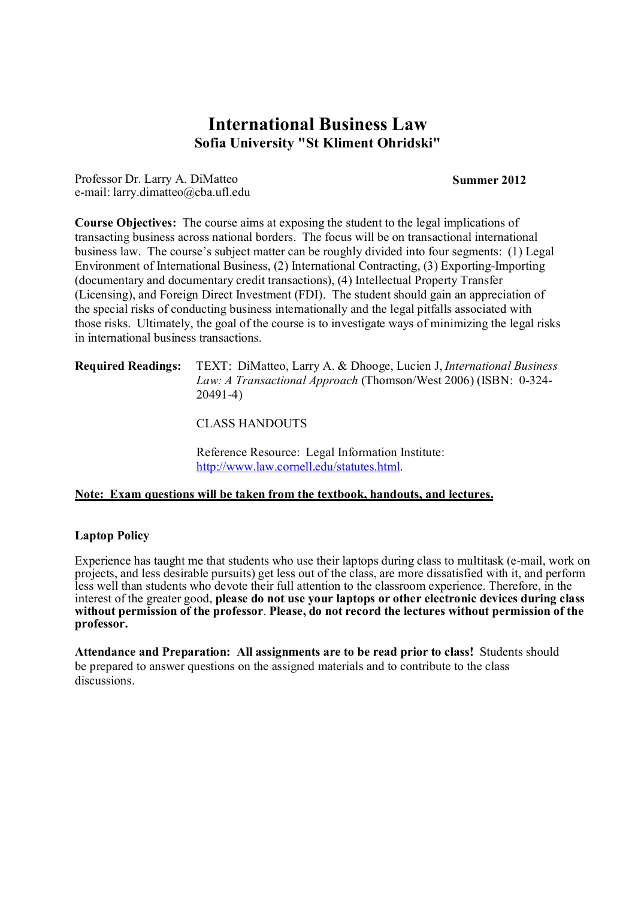# **International Business Law Sofia University "St Kliment Ohridski"**

Professor Dr. Larry A. DiMatteo e-mail: larry.dimatteo@cba.ufl.edu

#### **Summer 2012**

**Course Objectives:** The course aims at exposing the student to the legal implications of transacting business across national borders. The focus will be on transactional international business law. The course's subject matter can be roughly divided into four segments: (1) Legal Environment of International Business, (2) International Contracting, (3) Exporting-Importing (documentary and documentary credit transactions), (4) Intellectual Property Transfer (Licensing), and Foreign Direct Investment (FDI). The student should gain an appreciation of the special risks of conducting business internationally and the legal pitfalls associated with those risks. Ultimately, the goal of the course is to investigate ways of minimizing the legal risks in international business transactions.

#### **Required Readings:** TEXT: DiMatteo, Larry A. & Dhooge, Lucien J, *International Business Law: A Transactional Approach* (Thomson/West 2006) (ISBN: 0-324- 20491-4)

CLASS HANDOUTS

Reference Resource: Legal Information Institute: http://www.law.cornell.edu/statutes.html.

# **Note: Exam questions will be taken from the textbook, handouts, and lectures.**

# **Laptop Policy**

Experience has taught me that students who use their laptops during class to multitask (e-mail, work on projects, and less desirable pursuits) get less out of the class, are more dissatisfied with it, and perform less well than students who devote their full attention to the classroom experience. Therefore, in the interest of the greater good, **please do not use your laptops or other electronic devices during class without permission of the professor**. **Please, do not record the lectures without permission of the professor.**

**Attendance and Preparation: All assignments are to be read prior to class!** Students should be prepared to answer questions on the assigned materials and to contribute to the class discussions.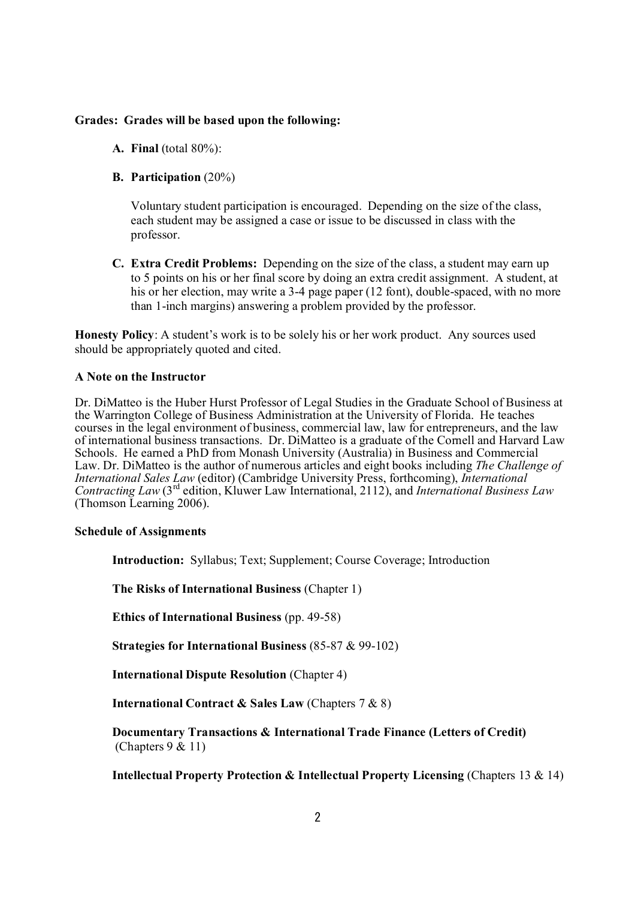## **Grades: Grades will be based upon the following:**

- **A. Final** (total 80%):
- **B. Participation** (20%)

Voluntary student participation is encouraged. Depending on the size of the class, each student may be assigned a case or issue to be discussed in class with the professor.

**C. Extra Credit Problems:** Depending on the size of the class, a student may earn up to 5 points on his or her final score by doing an extra credit assignment. A student, at his or her election, may write a 3-4 page paper (12 font), double-spaced, with no more than 1-inch margins) answering a problem provided by the professor.

**Honesty Policy**: A student's work is to be solely his or her work product. Any sources used should be appropriately quoted and cited.

## **A Note on the Instructor**

Dr. DiMatteo is the Huber Hurst Professor of Legal Studies in the Graduate School of Business at the Warrington College of Business Administration at the University of Florida. He teaches courses in the legal environment of business, commercial law, law for entrepreneurs, and the law of international business transactions. Dr. DiMatteo is a graduate of the Cornell and Harvard Law Schools. He earned a PhD from Monash University (Australia) in Business and Commercial Law. Dr. DiMatteo is the author of numerous articles and eight books including *The Challenge of International Sales Law* (editor) (Cambridge University Press, forthcoming), *International Contracting Law* (3rd edition, Kluwer Law International, 2112), and *International Business Law*  (Thomson Learning 2006).

## **Schedule of Assignments**

**Introduction:** Syllabus; Text; Supplement; Course Coverage; Introduction

**The Risks of International Business** (Chapter 1)

**Ethics of International Business** (pp. 49-58)

**Strategies for International Business** (85-87 & 99-102)

**International Dispute Resolution** (Chapter 4)

**International Contract & Sales Law** (Chapters 7 & 8)

**Documentary Transactions & International Trade Finance (Letters of Credit)** (Chapters 9 & 11)

**Intellectual Property Protection & Intellectual Property Licensing** (Chapters 13 & 14)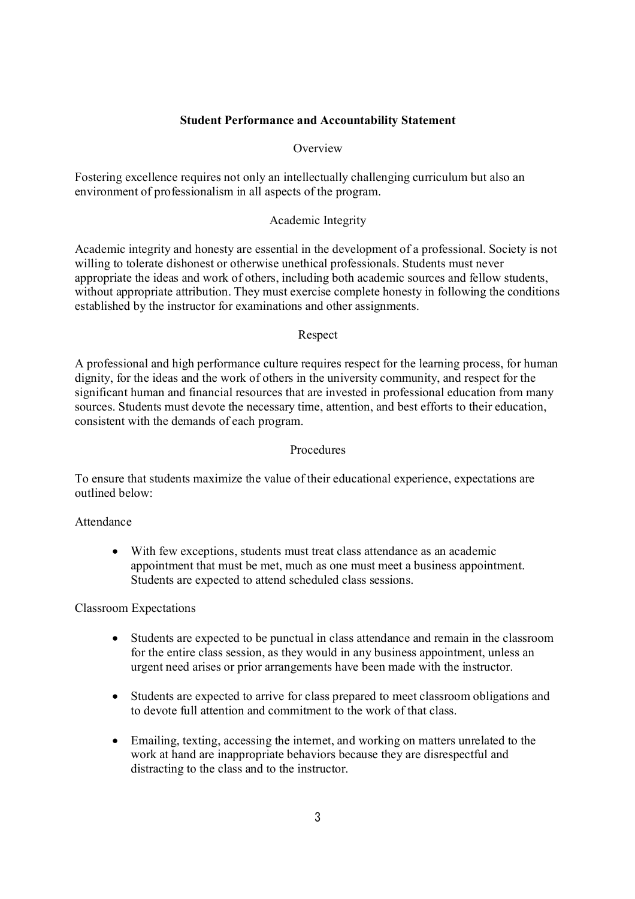## **Student Performance and Accountability Statement**

## **Overview**

Fostering excellence requires not only an intellectually challenging curriculum but also an environment of professionalism in all aspects of the program.

## Academic Integrity

Academic integrity and honesty are essential in the development of a professional. Society is not willing to tolerate dishonest or otherwise unethical professionals. Students must never appropriate the ideas and work of others, including both academic sources and fellow students, without appropriate attribution. They must exercise complete honesty in following the conditions established by the instructor for examinations and other assignments.

## Respect

A professional and high performance culture requires respect for the learning process, for human dignity, for the ideas and the work of others in the university community, and respect for the significant human and financial resources that are invested in professional education from many sources. Students must devote the necessary time, attention, and best efforts to their education, consistent with the demands of each program.

#### Procedures

To ensure that students maximize the value of their educational experience, expectations are outlined below:

## Attendance

 With few exceptions, students must treat class attendance as an academic appointment that must be met, much as one must meet a business appointment. Students are expected to attend scheduled class sessions.

Classroom Expectations

- Students are expected to be punctual in class attendance and remain in the classroom for the entire class session, as they would in any business appointment, unless an urgent need arises or prior arrangements have been made with the instructor.
- Students are expected to arrive for class prepared to meet classroom obligations and to devote full attention and commitment to the work of that class.
- Emailing, texting, accessing the internet, and working on matters unrelated to the work at hand are inappropriate behaviors because they are disrespectful and distracting to the class and to the instructor.